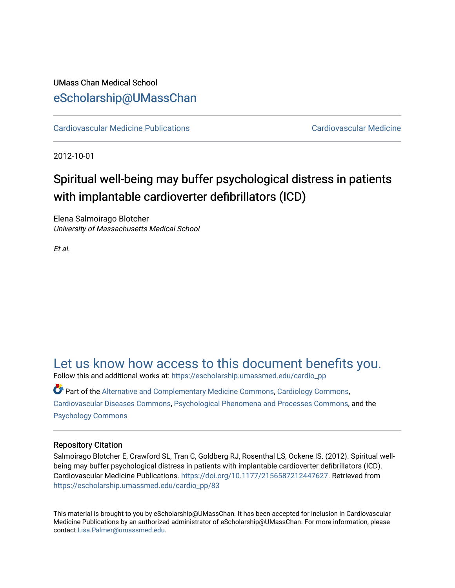# UMass Chan Medical School [eScholarship@UMassChan](https://escholarship.umassmed.edu/)

[Cardiovascular Medicine Publications](https://escholarship.umassmed.edu/cardio_pp) [Cardiovascular Medicine](https://escholarship.umassmed.edu/cardio) 

2012-10-01

# Spiritual well-being may buffer psychological distress in patients with implantable cardioverter defibrillators (ICD)

Elena Salmoirago Blotcher University of Massachusetts Medical School

Et al.

[Let us know how access to this document benefits you.](https://arcsapps.umassmed.edu/redcap/surveys/?s=XWRHNF9EJE) 

Follow this and additional works at: [https://escholarship.umassmed.edu/cardio\\_pp](https://escholarship.umassmed.edu/cardio_pp?utm_source=escholarship.umassmed.edu%2Fcardio_pp%2F83&utm_medium=PDF&utm_campaign=PDFCoverPages)

Part of the [Alternative and Complementary Medicine Commons,](http://network.bepress.com/hgg/discipline/649?utm_source=escholarship.umassmed.edu%2Fcardio_pp%2F83&utm_medium=PDF&utm_campaign=PDFCoverPages) [Cardiology Commons](http://network.bepress.com/hgg/discipline/683?utm_source=escholarship.umassmed.edu%2Fcardio_pp%2F83&utm_medium=PDF&utm_campaign=PDFCoverPages), [Cardiovascular Diseases Commons,](http://network.bepress.com/hgg/discipline/929?utm_source=escholarship.umassmed.edu%2Fcardio_pp%2F83&utm_medium=PDF&utm_campaign=PDFCoverPages) [Psychological Phenomena and Processes Commons,](http://network.bepress.com/hgg/discipline/914?utm_source=escholarship.umassmed.edu%2Fcardio_pp%2F83&utm_medium=PDF&utm_campaign=PDFCoverPages) and the [Psychology Commons](http://network.bepress.com/hgg/discipline/404?utm_source=escholarship.umassmed.edu%2Fcardio_pp%2F83&utm_medium=PDF&utm_campaign=PDFCoverPages) 

#### Repository Citation

Salmoirago Blotcher E, Crawford SL, Tran C, Goldberg RJ, Rosenthal LS, Ockene IS. (2012). Spiritual wellbeing may buffer psychological distress in patients with implantable cardioverter defibrillators (ICD). Cardiovascular Medicine Publications. [https://doi.org/10.1177/2156587212447627.](https://doi.org/10.1177/2156587212447627) Retrieved from [https://escholarship.umassmed.edu/cardio\\_pp/83](https://escholarship.umassmed.edu/cardio_pp/83?utm_source=escholarship.umassmed.edu%2Fcardio_pp%2F83&utm_medium=PDF&utm_campaign=PDFCoverPages) 

This material is brought to you by eScholarship@UMassChan. It has been accepted for inclusion in Cardiovascular Medicine Publications by an authorized administrator of eScholarship@UMassChan. For more information, please contact [Lisa.Palmer@umassmed.edu.](mailto:Lisa.Palmer@umassmed.edu)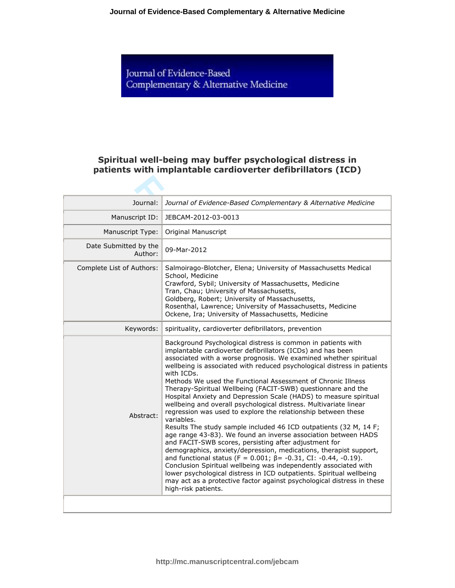Journal of Evidence-Based Complementary & Alternative Medicine

# Spiritual well-being may buffer psychological distress in patients with implantable cardioverter defibrillators (ICD)

| Journal:                         | Journal of Evidence-Based Complementary & Alternative Medicine                                                                                                                                                                                                                                                                                                                                                                                                                                                                                                                                                                                                                                                                                                                                                                                                                                                                                                                                                                                                                                                                                                                                                                                  |
|----------------------------------|-------------------------------------------------------------------------------------------------------------------------------------------------------------------------------------------------------------------------------------------------------------------------------------------------------------------------------------------------------------------------------------------------------------------------------------------------------------------------------------------------------------------------------------------------------------------------------------------------------------------------------------------------------------------------------------------------------------------------------------------------------------------------------------------------------------------------------------------------------------------------------------------------------------------------------------------------------------------------------------------------------------------------------------------------------------------------------------------------------------------------------------------------------------------------------------------------------------------------------------------------|
| Manuscript ID:                   | JEBCAM-2012-03-0013                                                                                                                                                                                                                                                                                                                                                                                                                                                                                                                                                                                                                                                                                                                                                                                                                                                                                                                                                                                                                                                                                                                                                                                                                             |
| Manuscript Type:                 | Original Manuscript                                                                                                                                                                                                                                                                                                                                                                                                                                                                                                                                                                                                                                                                                                                                                                                                                                                                                                                                                                                                                                                                                                                                                                                                                             |
| Date Submitted by the<br>Author: | 09-Mar-2012                                                                                                                                                                                                                                                                                                                                                                                                                                                                                                                                                                                                                                                                                                                                                                                                                                                                                                                                                                                                                                                                                                                                                                                                                                     |
| Complete List of Authors:        | Salmoirago-Blotcher, Elena; University of Massachusetts Medical<br>School, Medicine<br>Crawford, Sybil; University of Massachusetts, Medicine<br>Tran, Chau; University of Massachusetts,<br>Goldberg, Robert; University of Massachusetts,<br>Rosenthal, Lawrence; University of Massachusetts, Medicine<br>Ockene, Ira; University of Massachusetts, Medicine                                                                                                                                                                                                                                                                                                                                                                                                                                                                                                                                                                                                                                                                                                                                                                                                                                                                                 |
| Keywords:                        | spirituality, cardioverter defibrillators, prevention                                                                                                                                                                                                                                                                                                                                                                                                                                                                                                                                                                                                                                                                                                                                                                                                                                                                                                                                                                                                                                                                                                                                                                                           |
| Abstract:                        | Background Psychological distress is common in patients with<br>implantable cardioverter defibrillators (ICDs) and has been<br>associated with a worse prognosis. We examined whether spiritual<br>wellbeing is associated with reduced psychological distress in patients<br>with ICDs.<br>Methods We used the Functional Assessment of Chronic Illness<br>Therapy-Spiritual Wellbeing (FACIT-SWB) questionnare and the<br>Hospital Anxiety and Depression Scale (HADS) to measure spiritual<br>wellbeing and overall psychological distress. Multivariate linear<br>regression was used to explore the relationship between these<br>variables.<br>Results The study sample included 46 ICD outpatients (32 M, 14 F;<br>age range 43-83). We found an inverse association between HADS<br>and FACIT-SWB scores, persisting after adjustment for<br>demographics, anxiety/depression, medications, therapist support,<br>and functional status (F = $0.001$ ; $\beta$ = -0.31, CI: -0.44, -0.19).<br>Conclusion Spiritual wellbeing was independently associated with<br>lower psychological distress in ICD outpatients. Spiritual wellbeing<br>may act as a protective factor against psychological distress in these<br>high-risk patients. |
|                                  |                                                                                                                                                                                                                                                                                                                                                                                                                                                                                                                                                                                                                                                                                                                                                                                                                                                                                                                                                                                                                                                                                                                                                                                                                                                 |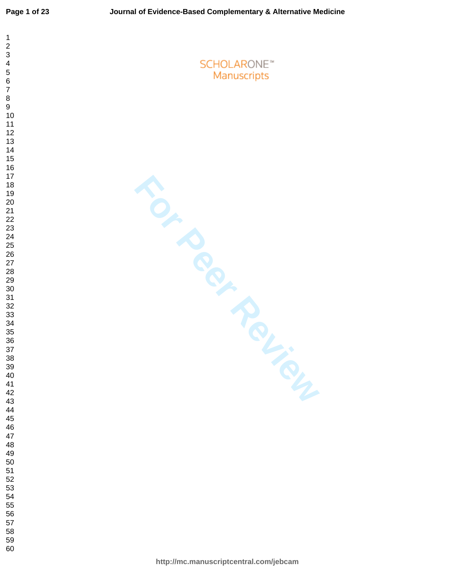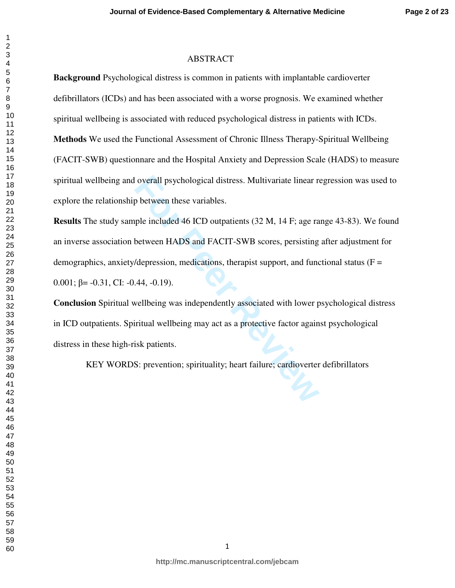#### ABSTRACT

**Background** Psychological distress is common in patients with implantable cardioverter defibrillators (ICDs) and has been associated with a worse prognosis. We examined whether spiritual wellbeing is associated with reduced psychological distress in patients with ICDs. **Methods** We used the Functional Assessment of Chronic Illness Therapy-Spiritual Wellbeing (FACIT-SWB) questionnare and the Hospital Anxiety and Depression Scale (HADS) to measure spiritual wellbeing and overall psychological distress. Multivariate linear regression was used to explore the relationship between these variables.

overall psychological distress. Multivariate linear rep between these variables.<br>ple included 46 ICD outpatients (32 M, 14 F; age rabetween HADS and FACIT-SWB scores, persisting (depression, medications, therapist support, **Results** The study sample included 46 ICD outpatients (32 M, 14 F; age range 43-83). We found an inverse association between HADS and FACIT-SWB scores, persisting after adjustment for demographics, anxiety/depression, medications, therapist support, and functional status ( $F =$  $0.001; \beta$  =  $-0.31, \text{CI}: -0.44, -0.19$ .

**Conclusion** Spiritual wellbeing was independently associated with lower psychological distress in ICD outpatients. Spiritual wellbeing may act as a protective factor against psychological distress in these high-risk patients.

KEY WORDS: prevention; spirituality; heart failure; cardioverter defibrillators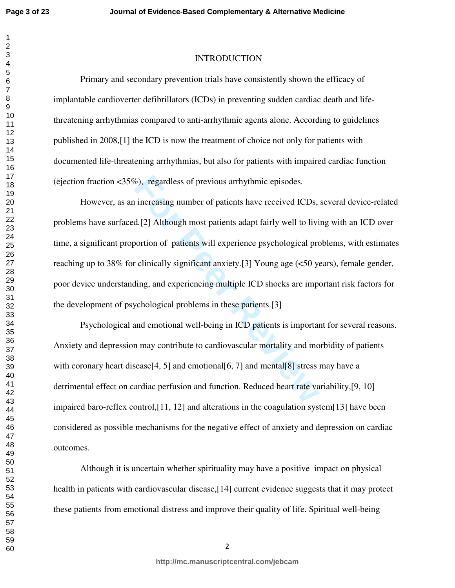#### INTRODUCTION

Primary and secondary prevention trials have consistently shown the efficacy of implantable cardioverter defibrillators (ICDs) in preventing sudden cardiac death and lifethreatening arrhythmias compared to anti-arrhythmic agents alone. According to guidelines published in 2008,[1] the ICD is now the treatment of choice not only for patients with documented life-threatening arrhythmias, but also for patients with impaired cardiac function (ejection fraction <35%), regardless of previous arrhythmic episodes*.* 

(b), regardless of previous arrhythmic episodes.<br>
increasing number of patients have received ICDs,<br>
d.[2] Although most patients adapt fairly well to livi<br>
oortion of patients will experience psychological pro<br>
clinicall However, as an increasing number of patients have received ICDs, several device-related problems have surfaced *.*[2] Although most patients adapt fairly well to living with an ICD over time, a significant proportion of patients will experience psychological problems, with estimates reaching up to 38% for clinically significant anxiety.[3] Young age (<50 years), female gender, poor device understanding, and experiencing multiple ICD shocks are important risk factors for the development of psychological problems in these patients.[3]

Psychological and emotional well-being in ICD patients is important for several reasons. Anxiety and depression may contribute to cardiovascular mortality and morbidity of patients with coronary heart disease<sup>[4, 5]</sup> and emotional<sup>[6, 7]</sup> and mental<sup>[8]</sup> stress may have a detrimental effect on cardiac perfusion and function. Reduced heart rate variability,[9, 10] impaired baro-reflex control,[11, 12] and alterations in the coagulation system[13] have been considered as possible mechanisms for the negative effect of anxiety and depression on cardiac outcomes.

Although it is uncertain whether spirituality may have a positive impact on physical health in patients with cardiovascular disease, [14] current evidence suggests that it may protect these patients from emotional distress and improve their quality of life. Spiritual well-being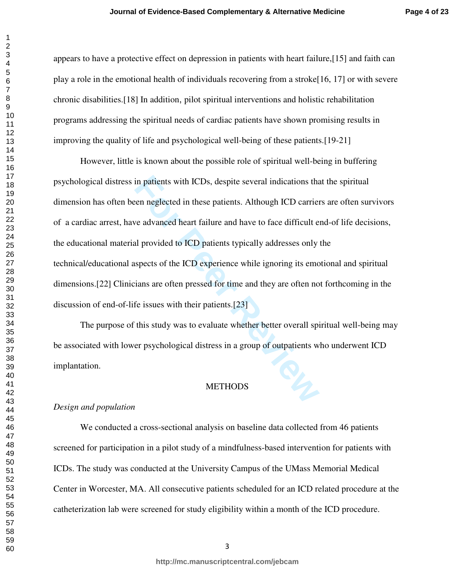appears to have a protective effect on depression in patients with heart failure,[15] and faith can play a role in the emotional health of individuals recovering from a stroke[16, 17] or with severe chronic disabilities.[18] In addition, pilot spiritual interventions and holistic rehabilitation programs addressing the spiritual needs of cardiac patients have shown promising results in improving the quality of life and psychological well-being of these patients.[19-21]

in patients with ICDs, despite several indications that<br>the meglected in these patients. Although ICD carrier<br>ve advanced heart failure and have to face difficult e<br>al provided to ICD patients typically addresses only<br>spec However, little is known about the possible role of spiritual well-being in buffering psychological distress in patients with ICDs, despite several indications that the spiritual dimension has often been neglected in these patients. Although ICD carriers are often survivors of a cardiac arrest, have advanced heart failure and have to face difficult end-of life decisions, the educational material provided to ICD patients typically addresses only the technical/educational aspects of the ICD experience while ignoring its emotional and spiritual dimensions.[22] Clinicians are often pressed for time and they are often not forthcoming in the discussion of end-of-life issues with their patients.[23]

The purpose of this study was to evaluate whether better overall spiritual well-being may be associated with lower psychological distress in a group of outpatients who underwent ICD implantation.

#### **METHODS**

#### *Design and population*

We conducted a cross-sectional analysis on baseline data collected from 46 patients screened for participation in a pilot study of a mindfulness-based intervention for patients with ICDs. The study was conducted at the University Campus of the UMass Memorial Medical Center in Worcester, MA. All consecutive patients scheduled for an ICD related procedure at the catheterization lab were screened for study eligibility within a month of the ICD procedure.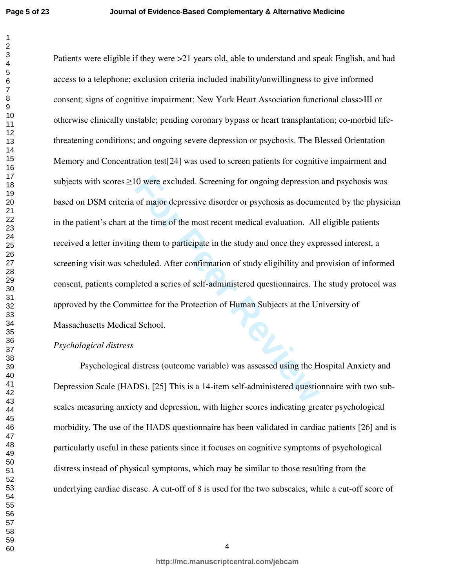**Page 5 of 23**

 $\mathbf{1}$  $\overline{2}$ 

10 were excluded. Screening for ongoing depression<br>of major depressive disorder or psychosis as docum<br>the time of the most recent medical evaluation. All<br>ug them to participate in the study and once they exp<br>eduled. After Patients were eligible if they were >21 years old, able to understand and speak English, and had access to a telephone; exclusion criteria included inability/unwillingness to give informed consent; signs of cognitive impairment; New York Heart Association functional class>III or otherwise clinically unstable; pending coronary bypass or heart transplantation; co-morbid lifethreatening conditions; and ongoing severe depression or psychosis. The Blessed Orientation Memory and Concentration test[24] was used to screen patients for cognitive impairment and subjects with scores ≥10 were excluded. Screening for ongoing depression and psychosis was based on DSM criteria of major depressive disorder or psychosis as documented by the physician in the patient's chart at the time of the most recent medical evaluation. All eligible patients received a letter inviting them to participate in the study and once they expressed interest, a screening visit was scheduled. After confirmation of study eligibility and provision of informed consent, patients completed a series of self-administered questionnaires. The study protocol was approved by the Committee for the Protection of Human Subjects at the University of Massachusetts Medical School.

#### *Psychological distress*

Psychological distress (outcome variable) was assessed using the Hospital Anxiety and Depression Scale (HADS). [25] This is a 14-item self-administered questionnaire with two subscales measuring anxiety and depression, with higher scores indicating greater psychological morbidity. The use of the HADS questionnaire has been validated in cardiac patients [26] and is particularly useful in these patients since it focuses on cognitive symptoms of psychological distress instead of physical symptoms, which may be similar to those resulting from the underlying cardiac disease. A cut-off of 8 is used for the two subscales, while a cut-off score of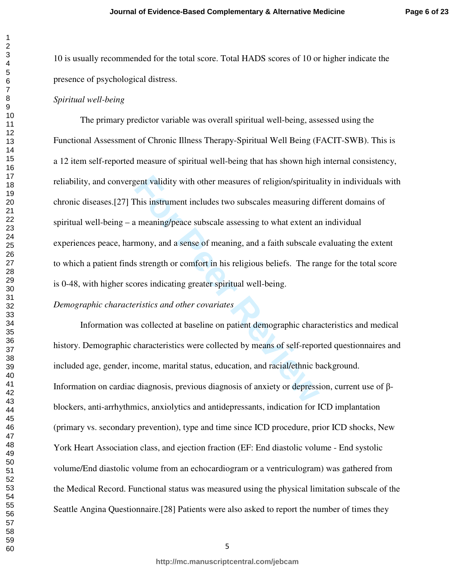10 is usually recommended for the total score. Total HADS scores of 10 or higher indicate the presence of psychological distress.

#### *Spiritual well-being*

For Perical Validity with other measures of religion/spiritual<br>
This instrument includes two subscales measuring dif<br>
In meaning/peace subscale assessing to what extent at<br>
mony, and a sense of meaning, and a faith subscal The primary predictor variable was overall spiritual well-being, assessed using the Functional Assessment of Chronic Illness Therapy-Spiritual Well Being (FACIT-SWB). This is a 12 item self-reported measure of spiritual well-being that has shown high internal consistency, reliability, and convergent validity with other measures of religion/spirituality in individuals with chronic diseases.[27] This instrument includes two subscales measuring different domains of spiritual well-being – a meaning/peace subscale assessing to what extent an individual experiences peace, harmony, and a sense of meaning, and a faith subscale evaluating the extent to which a patient finds strength or comfort in his religious beliefs. The range for the total score is 0-48, with higher scores indicating greater spiritual well-being.

#### *Demographic characteristics and other covariates*

Information was collected at baseline on patient demographic characteristics and medical history. Demographic characteristics were collected by means of self-reported questionnaires and included age, gender, income, marital status, education, and racial/ethnic background. Information on cardiac diagnosis, previous diagnosis of anxiety or depression, current use of βblockers, anti-arrhythmics, anxiolytics and antidepressants, indication for ICD implantation (primary vs. secondary prevention), type and time since ICD procedure, prior ICD shocks, New York Heart Association class, and ejection fraction (EF: End diastolic volume - End systolic volume/End diastolic volume from an echocardiogram or a ventriculogram) was gathered from the Medical Record. Functional status was measured using the physical limitation subscale of the Seattle Angina Questionnaire.[28] Patients were also asked to report the number of times they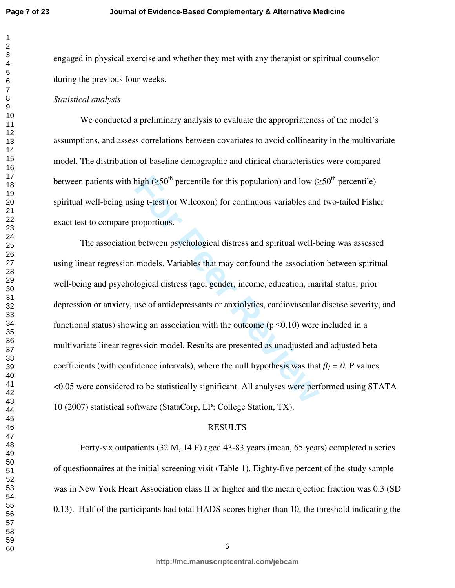engaged in physical exercise and whether they met with any therapist or spiritual counselor during the previous four weeks.

#### *Statistical analysis*

We conducted a preliminary analysis to evaluate the appropriateness of the model's assumptions, and assess correlations between covariates to avoid collinearity in the multivariate model. The distribution of baseline demographic and clinical characteristics were compared between patients with high ( $\geq 50^{th}$  percentile for this population) and low ( $\geq 50^{th}$  percentile) spiritual well-being using t-test (or Wilcoxon) for continuous variables and two-tailed Fisher exact test to compare proportions.

high ( $\geq$ 50<sup>th</sup> percentile for this population) and low ( $\geq$ <br>ing t-test (or Wilcoxon) for continuous variables and<br>roportions.<br>between psychological distress and spiritual well-b<br>models. Variables that may confound th The association between psychological distress and spiritual well-being was assessed using linear regression models. Variables that may confound the association between spiritual well-being and psychological distress (age, gender, income, education, marital status, prior depression or anxiety, use of antidepressants or anxiolytics, cardiovascular disease severity, and functional status) showing an association with the outcome ( $p \le 0.10$ ) were included in a multivariate linear regression model. Results are presented as unadjusted and adjusted beta coefficients (with confidence intervals), where the null hypothesis was that  $\beta_l = 0$ . P values <0.05 were considered to be statistically significant. All analyses were performed using STATA 10 (2007) statistical software (StataCorp, LP; College Station, TX).

#### RESULTS

Forty-six outpatients (32 M, 14 F) aged 43-83 years (mean, 65 years) completed a series of questionnaires at the initial screening visit (Table 1). Eighty-five percent of the study sample was in New York Heart Association class II or higher and the mean ejection fraction was 0.3 (SD 0.13). Half of the participants had total HADS scores higher than 10, the threshold indicating the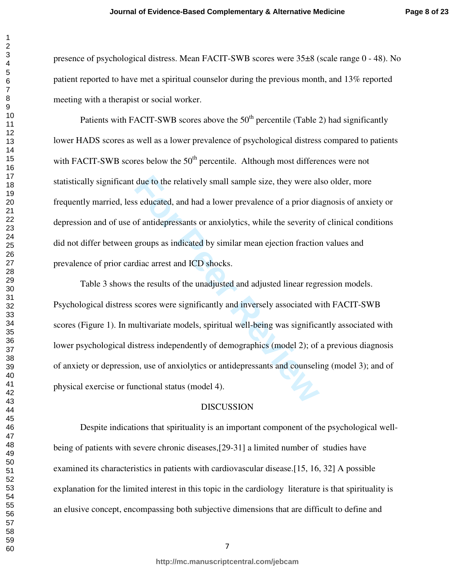presence of psychological distress. Mean FACIT-SWB scores were 35±8 (scale range 0 - 48). No patient reported to have met a spiritual counselor during the previous month, and 13% reported meeting with a therapist or social worker.

Patients with FACIT-SWB scores above the  $50<sup>th</sup>$  percentile (Table 2) had significantly lower HADS scores as well as a lower prevalence of psychological distress compared to patients with FACIT-SWB scores below the  $50<sup>th</sup>$  percentile. Although most differences were not statistically significant due to the relatively small sample size, they were also older, more frequently married, less educated, and had a lower prevalence of a prior diagnosis of anxiety or depression and of use of antidepressants or anxiolytics, while the severity of clinical conditions did not differ between groups as indicated by similar mean ejection fraction values and prevalence of prior cardiac arrest and ICD shocks.

due to the relatively small sample size, they were all<br>s educated, and had a lower prevalence of a prior dia<br>of antidepressants or anxiolytics, while the severity of<br>groups as indicated by similar mean ejection fraction<br>di Table 3 shows the results of the unadjusted and adjusted linear regression models. Psychological distress scores were significantly and inversely associated with FACIT-SWB scores (Figure 1). In multivariate models, spiritual well-being was significantly associated with lower psychological distress independently of demographics (model 2); of a previous diagnosis of anxiety or depression, use of anxiolytics or antidepressants and counseling (model 3); and of physical exercise or functional status (model 4).

#### DISCUSSION

Despite indications that spirituality is an important component of the psychological wellbeing of patients with severe chronic diseases,[29-31] a limited number of studies have examined its characteristics in patients with cardiovascular disease.[15, 16, 32] A possible explanation for the limited interest in this topic in the cardiology literature is that spirituality is an elusive concept, encompassing both subjective dimensions that are difficult to define and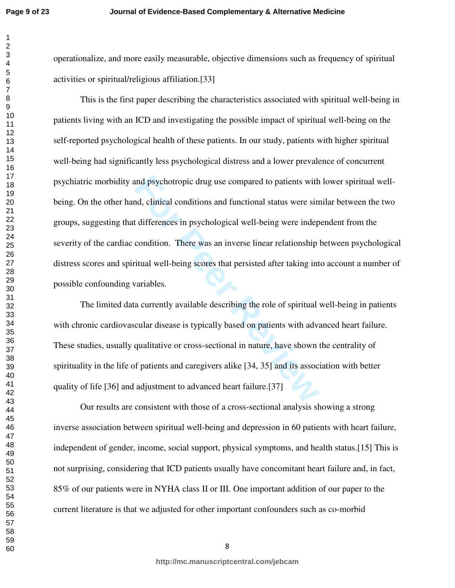operationalize, and more easily measurable, objective dimensions such as frequency of spiritual activities or spiritual/religious affiliation.[33]

and psychotropic drug use compared to patients with<br>
Ad, clinical conditions and functional status were sin<br>
differences in psychological well-being were indep<br>
condition. There was an inverse linear relationship<br>
itual we This is the first paper describing the characteristics associated with spiritual well-being in patients living with an ICD and investigating the possible impact of spiritual well-being on the self-reported psychological health of these patients. In our study, patients with higher spiritual well-being had significantly less psychological distress and a lower prevalence of concurrent psychiatric morbidity and psychotropic drug use compared to patients with lower spiritual wellbeing. On the other hand, clinical conditions and functional status were similar between the two groups, suggesting that differences in psychological well-being were independent from the severity of the cardiac condition. There was an inverse linear relationship between psychological distress scores and spiritual well-being scores that persisted after taking into account a number of possible confounding variables.

The limited data currently available describing the role of spiritual well-being in patients with chronic cardiovascular disease is typically based on patients with advanced heart failure. These studies, usually qualitative or cross-sectional in nature, have shown the centrality of spirituality in the life of patients and caregivers alike [34, 35] and its association with better quality of life [36] and adjustment to advanced heart failure.[37]

Our results are consistent with those of a cross-sectional analysis showing a strong inverse association between spiritual well-being and depression in 60 patients with heart failure, independent of gender, income, social support, physical symptoms, and health status.[15] This is not surprising, considering that ICD patients usually have concomitant heart failure and, in fact, 85% of our patients were in NYHA class II or III. One important addition of our paper to the current literature is that we adjusted for other important confounders such as co-morbid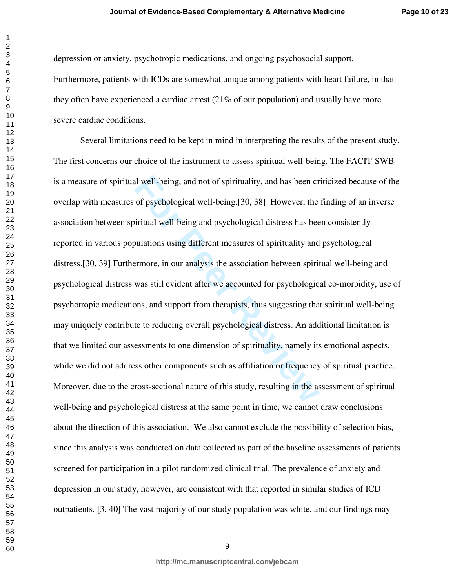depression or anxiety, psychotropic medications, and ongoing psychosocial support. Furthermore, patients with ICDs are somewhat unique among patients with heart failure, in that they often have experienced a cardiac arrest (21% of our population) and usually have more severe cardiac conditions.

a Well-being, and not of spirituality, and has been cr<br>of psychological well-being.[30, 38] However, the<br>iritual well-being and psychological distress has bee<br>vulations using different measures of spirituality and<br>ermore, Several limitations need to be kept in mind in interpreting the results of the present study. The first concerns our choice of the instrument to assess spiritual well-being. The FACIT-SWB is a measure of spiritual well-being, and not of spirituality, and has been criticized because of the overlap with measures of psychological well-being.[30, 38] However, the finding of an inverse association between spiritual well-being and psychological distress has been consistently reported in various populations using different measures of spirituality and psychological distress.[30, 39] Furthermore, in our analysis the association between spiritual well-being and psychological distress was still evident after we accounted for psychological co-morbidity, use of psychotropic medications, and support from therapists, thus suggesting that spiritual well-being may uniquely contribute to reducing overall psychological distress. An additional limitation is that we limited our assessments to one dimension of spirituality, namely its emotional aspects, while we did not address other components such as affiliation or frequency of spiritual practice. Moreover, due to the cross-sectional nature of this study, resulting in the assessment of spiritual well-being and psychological distress at the same point in time, we cannot draw conclusions about the direction of this association. We also cannot exclude the possibility of selection bias, since this analysis was conducted on data collected as part of the baseline assessments of patients screened for participation in a pilot randomized clinical trial. The prevalence of anxiety and depression in our study, however, are consistent with that reported in similar studies of ICD outpatients. [3, 40] The vast majority of our study population was white, and our findings may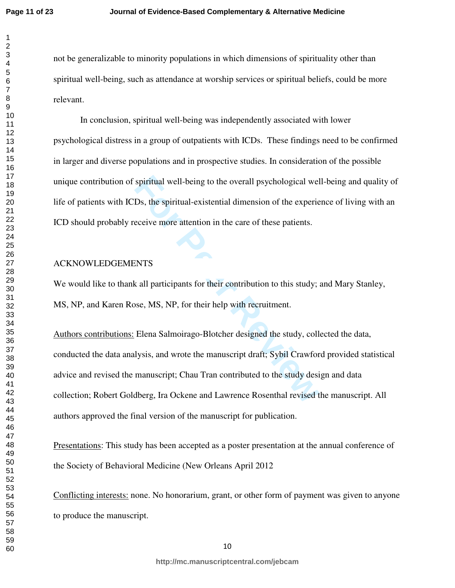not be generalizable to minority populations in which dimensions of spirituality other than spiritual well-being, such as attendance at worship services or spiritual beliefs, could be more relevant.

In conclusion, spiritual well-being was independently associated with lower psychological distress in a group of outpatients with ICDs. These findings need to be confirmed in larger and diverse populations and in prospective studies. In consideration of the possible unique contribution of spiritual well-being to the overall psychological well-being and quality of life of patients with ICDs, the spiritual-existential dimension of the experience of living with an ICD should probably receive more attention in the care of these patients.

#### ACKNOWLEDGEMENTS

We would like to thank all participants for their contribution to this study; and Mary Stanley, MS, NP, and Karen Rose, MS, NP, for their help with recruitment.

spiritual well-being to the overall psychological wel<br>Ds, the spiritual-existential dimension of the experie<br>eceive more attention in the care of these patients.<br>
ENTS<br>
Stall participants for their contribution to this stu Authors contributions: Elena Salmoirago-Blotcher designed the study, collected the data, conducted the data analysis, and wrote the manuscript draft; Sybil Crawford provided statistical advice and revised the manuscript; Chau Tran contributed to the study design and data collection; Robert Goldberg, Ira Ockene and Lawrence Rosenthal revised the manuscript. All authors approved the final version of the manuscript for publication.

Presentations: This study has been accepted as a poster presentation at the annual conference of the Society of Behavioral Medicine (New Orleans April 2012

Conflicting interests: none. No honorarium, grant, or other form of payment was given to anyone to produce the manuscript.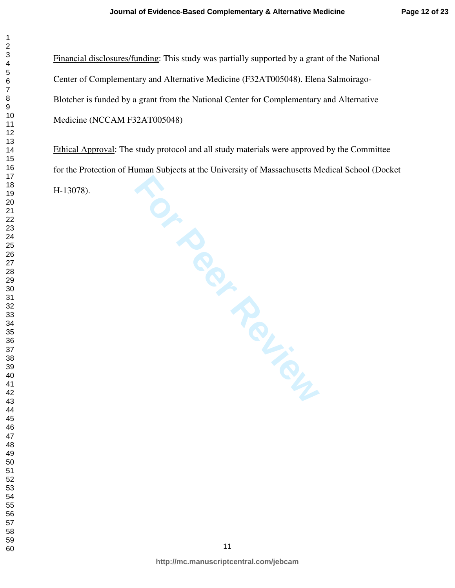Financial disclosures/funding: This study was partially supported by a grant of the National Center of Complementary and Alternative Medicine (F32AT005048). Elena Salmoirago-Blotcher is funded by a grant from the National Center for Complementary and Alternative Medicine (NCCAM F32AT005048)

Ethical Approval: The study protocol and all study materials were approved by the Committee for the Protection of Human Subjects at the University of Massachusetts Medical School (Docket H-13078).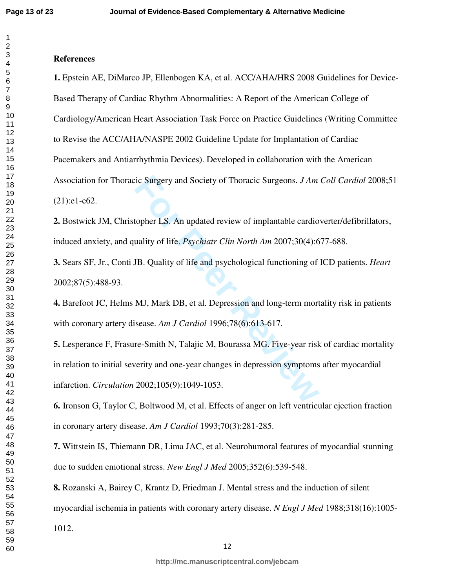$\mathbf{1}$ 

#### $\overline{2}$

## **References**

**1.** Epstein AE, DiMarco JP, Ellenbogen KA, et al. ACC/AHA/HRS 2008 Guidelines for Device-Based Therapy of Cardiac Rhythm Abnormalities: A Report of the American College of Cardiology/American Heart Association Task Force on Practice Guidelines (Writing Committee to Revise the ACC/AHA/NASPE 2002 Guideline Update for Implantation of Cardiac Pacemakers and Antiarrhythmia Devices). Developed in collaboration with the American Association for Thoracic Surgery and Society of Thoracic Surgeons. *J Am Coll Cardiol* 2008;51 (21):e1-e62.

**2.** Bostwick JM, Christopher LS. An updated review of implantable cardioverter/defibrillators, induced anxiety, and quality of life. *Psychiatr Clin North Am* 2007;30(4):677-688.

**3.** Sears SF, Jr., Conti JB. Quality of life and psychological functioning of ICD patients. *Heart* 2002;87(5):488-93.

**4.** Barefoot JC, Helms MJ, Mark DB, et al. Depression and long-term mortality risk in patients with coronary artery disease. *Am J Cardiol* 1996;78(6):613-617.

ic Surgery and Society of Thoracic Surgeons. *J Am*<br>
topher LS. An updated review of implantable cardio<br>
uality of life. *Psychiatr Clin North Am* 2007;30(4):6<br>
JB. Quality of life and psychological functioning of<br>
MJ, Mar **5.** Lesperance F, Frasure-Smith N, Talajic M, Bourassa MG. Five-year risk of cardiac mortality in relation to initial severity and one-year changes in depression symptoms after myocardial infarction. *Circulation* 2002;105(9):1049-1053.

**6.** Ironson G, Taylor C, Boltwood M, et al. Effects of anger on left ventricular ejection fraction in coronary artery disease. *Am J Cardiol* 1993;70(3):281-285.

**7.** Wittstein IS, Thiemann DR, Lima JAC, et al. Neurohumoral features of myocardial stunning due to sudden emotional stress. *New Engl J Med* 2005;352(6):539-548.

**8.** Rozanski A, Bairey C, Krantz D, Friedman J. Mental stress and the induction of silent myocardial ischemia in patients with coronary artery disease. *N Engl J Med* 1988;318(16):1005- 1012.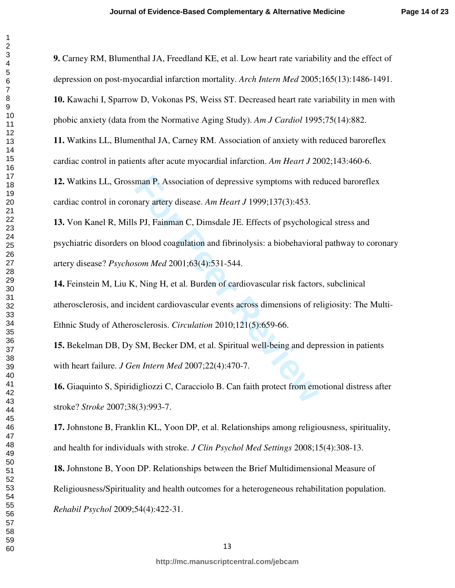$\mathbf{1}$ 

**9.** Carney RM, Blumenthal JA, Freedland KE, et al. Low heart rate variability and the effect of depression on post-myocardial infarction mortality. *Arch Intern Med* 2005;165(13):1486-1491. **10.** Kawachi I, Sparrow D, Vokonas PS, Weiss ST. Decreased heart rate variability in men with phobic anxiety (data from the Normative Aging Study). *Am J Cardiol* 1995;75(14):882.

**11.** Watkins LL, Blumenthal JA, Carney RM. Association of anxiety with reduced baroreflex cardiac control in patients after acute myocardial infarction. *Am Heart J* 2002;143:460-6.

**12.** Watkins LL, Grossman P. Association of depressive symptoms with reduced baroreflex cardiac control in coronary artery disease. *Am Heart J* 1999;137(3):453.

**13.** Von Kanel R, Mills PJ, Fainman C, Dimsdale JE. Effects of psychological stress and psychiatric disorders on blood coagulation and fibrinolysis: a biobehavioral pathway to coronary artery disease? *Psychosom Med* 2001;63(4):531-544.

man P. Association of depressive symptoms with renary artery disease. Am Heart J 1999;137(3):453.<br> **FD. Fainman C. Dimsdale JE. Effects of psycholog n blood coagulation and fibrinolysis: a biobehaviora**<br> **som Med 2001;63(4 14.** Feinstein M, Liu K, Ning H, et al. Burden of cardiovascular risk factors, subclinical atherosclerosis, and incident cardiovascular events across dimensions of religiosity: The Multi-Ethnic Study of Atherosclerosis. *Circulation* 2010;121(5):659-66.

**15.** Bekelman DB, Dy SM, Becker DM, et al. Spiritual well-being and depression in patients with heart failure. *J Gen Intern Med* 2007;22(4):470-7.

**16.** Giaquinto S, Spiridigliozzi C, Caracciolo B. Can faith protect from emotional distress after stroke? *Stroke* 2007;38(3):993-7.

**17.** Johnstone B, Franklin KL, Yoon DP, et al. Relationships among religiousness, spirituality, and health for individuals with stroke. *J Clin Psychol Med Settings* 2008;15(4):308-13.

**18.** Johnstone B, Yoon DP. Relationships between the Brief Multidimensional Measure of Religiousness/Spirituality and health outcomes for a heterogeneous rehabilitation population. *Rehabil Psychol* 2009;54(4):422-31.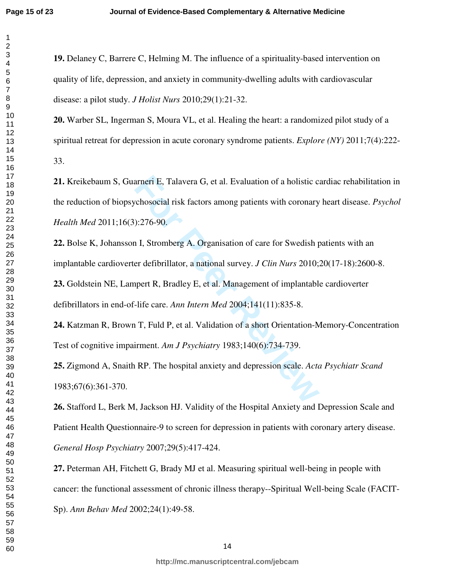**19.** Delaney C, Barrere C, Helming M. The influence of a spirituality-based intervention on quality of life, depression, and anxiety in community-dwelling adults with cardiovascular disease: a pilot study. *J Holist Nurs* 2010;29(1):21-32.

**20.** Warber SL, Ingerman S, Moura VL, et al. Healing the heart: a randomized pilot study of a spiritual retreat for depression in acute coronary syndrome patients. *Explore (NY)* 2011;7(4):222- 33.

arneri E, Talavera G, et al. Evaluation of a holistic composition consider the set of the set of the set of the M.<br> **For Peer Set of the Set of the Set of the Set of the Set of the Set of the Set of the Frederick II are de 21.** Kreikebaum S, Guarneri E, Talavera G, et al. Evaluation of a holistic cardiac rehabilitation in the reduction of biopsychosocial risk factors among patients with coronary heart disease. *Psychol Health Med* 2011;16(3):276-90.

**22.** Bolse K, Johansson I, Stromberg A. Organisation of care for Swedish patients with an implantable cardioverter defibrillator, a national survey. *J Clin Nurs* 2010;20(17-18):2600-8.

**23.** Goldstein NE, Lampert R, Bradley E, et al. Management of implantable cardioverter defibrillators in end-of-life care. *Ann Intern Med* 2004;141(11):835-8.

**24.** Katzman R, Brown T, Fuld P, et al. Validation of a short Orientation-Memory-Concentration Test of cognitive impairment. *Am J Psychiatry* 1983;140(6):734-739.

**25.** Zigmond A, Snaith RP. The hospital anxiety and depression scale. *Acta Psychiatr Scand*  1983;67(6):361-370.

**26.** Stafford L, Berk M, Jackson HJ. Validity of the Hospital Anxiety and Depression Scale and Patient Health Questionnaire-9 to screen for depression in patients with coronary artery disease. *General Hosp Psychiatry* 2007;29(5):417-424.

**27.** Peterman AH, Fitchett G, Brady MJ et al. Measuring spiritual well-being in people with cancer: the functional assessment of chronic illness therapy--Spiritual Well-being Scale (FACIT-Sp). *Ann Behav Med* 2002;24(1):49-58.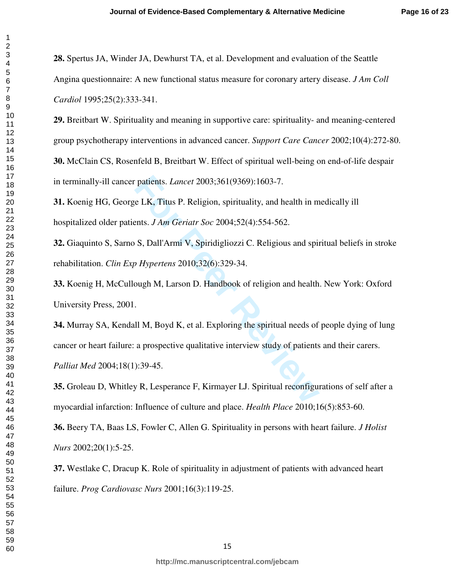$\mathbf{1}$ 

**28.** Spertus JA, Winder JA, Dewhurst TA, et al. Development and evaluation of the Seattle Angina questionnaire: A new functional status measure for coronary artery disease. *J Am Coll Cardiol* 1995;25(2):333-341.

**29.** Breitbart W. Spirituality and meaning in supportive care: spirituality- and meaning-centered group psychotherapy interventions in advanced cancer. *Support Care Cancer* 2002;10(4):272-80. **30.** McClain CS, Rosenfeld B, Breitbart W. Effect of spiritual well-being on end-of-life despair in terminally-ill cancer patients. *Lancet* 2003;361(9369):1603-7.

**31.** Koenig HG, George LK, Titus P. Religion, spirituality, and health in medically ill hospitalized older patients. *J Am Geriatr Soc* 2004;52(4):554-562.

**32.** Giaquinto S, Sarno S, Dall'Armi V, Spiridigliozzi C. Religious and spiritual beliefs in stroke rehabilitation. *Clin Exp Hypertens* 2010;32(6):329-34.

**33.** Koenig H, McCullough M, Larson D. Handbook of religion and health. New York: Oxford University Press, 2001.

reatients. *Lancet* 2003;361(9369):1603-7.<br>
ELK, Titus P. Religion, spirituality, and health in m<br>
ents. *J Am Geriatr Soc* 2004;52(4):554-562.<br>
S, Dall'Armi V, Spiridigliozzi C. Religious and spiritual properties 2010;32( **34.** Murray SA, Kendall M, Boyd K, et al. Exploring the spiritual needs of people dying of lung cancer or heart failure: a prospective qualitative interview study of patients and their carers. *Palliat Med* 2004;18(1):39-45.

**35.** Groleau D, Whitley R, Lesperance F, Kirmayer LJ. Spiritual reconfigurations of self after a myocardial infarction: Influence of culture and place. *Health Place* 2010;16(5):853-60.

**36.** Beery TA, Baas LS, Fowler C, Allen G. Spirituality in persons with heart failure. *J Holist Nurs* 2002;20(1):5-25.

**37.** Westlake C, Dracup K. Role of spirituality in adjustment of patients with advanced heart failure. *Prog Cardiovasc Nurs* 2001;16(3):119-25.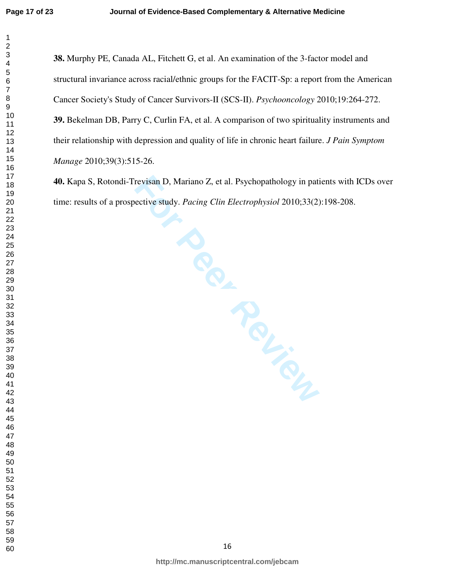$\mathbf{1}$ 

**38.** Murphy PE, Canada AL, Fitchett G, et al. An examination of the 3-factor model and structural invariance across racial/ethnic groups for the FACIT-Sp: a report from the American Cancer Society's Study of Cancer Survivors-II (SCS-II). *Psychooncology* 2010;19:264-272. **39.** Bekelman DB, Parry C, Curlin FA, et al. A comparison of two spirituality instruments and their relationship with depression and quality of life in chronic heart failure. *J Pain Symptom Manage* 2010;39(3):515-26.

Mariano .<br>Alex Pacing Clin L.<br>Contract Review of Claysing Clays and Clays and Clays and Clays and Clays and Clays and Clays and Clays and Clays and Clays and Clays and Clays and Clays and Clays and Clays and Clays and Clay **40.** Kapa S, Rotondi-Trevisan D, Mariano Z, et al. Psychopathology in patients with ICDs over time: results of a prospective study. *Pacing Clin Electrophysiol* 2010;33(2):198-208.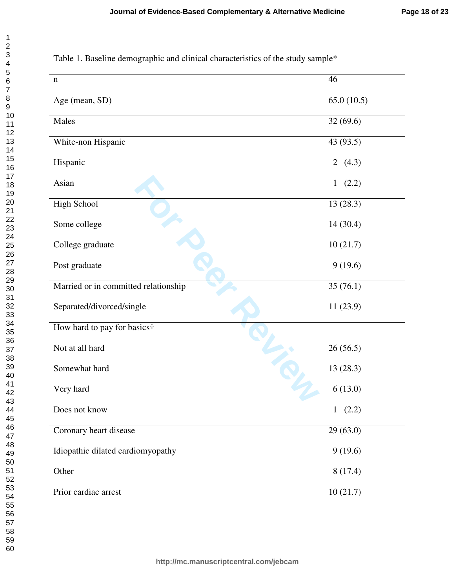| $\mathbf n$                          | 46         |
|--------------------------------------|------------|
| Age (mean, SD)                       | 65.0(10.5) |
| Males                                | 32(69.6)   |
| White-non Hispanic                   | 43 (93.5)  |
| Hispanic                             | 2 $(4.3)$  |
| Asian                                | 1(2.2)     |
| High School                          | 13(28.3)   |
| Some college                         | 14(30.4)   |
| College graduate                     | 10(21.7)   |
| Post graduate                        | 9(19.6)    |
| Married or in committed relationship | 35(76.1)   |
| Separated/divorced/single            | 11(23.9)   |
| How hard to pay for basics†          |            |
| Not at all hard                      | 26(56.5)   |
| Somewhat hard                        | 13(28.3)   |
| Very hard                            | 6(13.0)    |
| Does not know                        | 1(2.2)     |
| Coronary heart disease               | 29 (63.0)  |
| Idiopathic dilated cardiomyopathy    | 9(19.6)    |
| Other                                | 8(17.4)    |
| Prior cardiac arrest                 | 10(21.7)   |
|                                      |            |

Table 1. Baseline demographic and clinical characteristics of the study sample\*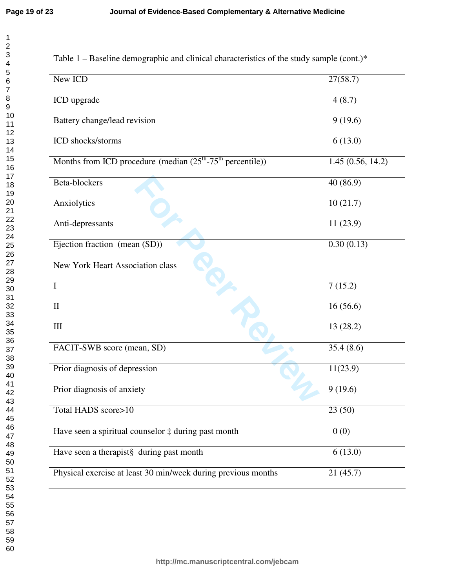| 1                    |  |
|----------------------|--|
|                      |  |
|                      |  |
|                      |  |
|                      |  |
|                      |  |
|                      |  |
|                      |  |
|                      |  |
|                      |  |
|                      |  |
|                      |  |
|                      |  |
|                      |  |
|                      |  |
|                      |  |
|                      |  |
|                      |  |
|                      |  |
|                      |  |
|                      |  |
|                      |  |
|                      |  |
|                      |  |
|                      |  |
|                      |  |
|                      |  |
|                      |  |
|                      |  |
|                      |  |
|                      |  |
|                      |  |
|                      |  |
|                      |  |
|                      |  |
| 39                   |  |
| 40                   |  |
| 41                   |  |
| 42                   |  |
| 43                   |  |
| 44                   |  |
| 45                   |  |
| 46                   |  |
| 47                   |  |
| 48<br>49             |  |
| 50                   |  |
| 51                   |  |
| 52<br>$\overline{ }$ |  |
| 53                   |  |
| 54                   |  |
| 55                   |  |
| $\frac{56}{1}$       |  |
| 57<br>58             |  |
|                      |  |
| 59                   |  |
| 60                   |  |

Table 1 – Baseline demographic and clinical characteristics of the study sample (cont.)\*

| New ICD                                                       | 27(58.7)         |
|---------------------------------------------------------------|------------------|
| ICD upgrade                                                   | 4(8.7)           |
| Battery change/lead revision                                  | 9(19.6)          |
| ICD shocks/storms                                             | 6(13.0)          |
| Months from ICD procedure (median $(25th-75th$ percentile))   | 1.45(0.56, 14.2) |
| Beta-blockers                                                 | 40(86.9)         |
| Anxiolytics                                                   | 10(21.7)         |
| Anti-depressants                                              | 11(23.9)         |
| Ejection fraction (mean (SD))                                 | 0.30(0.13)       |
| New York Heart Association class                              |                  |
| I                                                             | 7(15.2)          |
| $\mathbf{I}$                                                  | 16(56.6)         |
| III                                                           | 13(28.2)         |
| FACIT-SWB score (mean, SD)                                    | 35.4(8.6)        |
| Prior diagnosis of depression                                 | 11(23.9)         |
| Prior diagnosis of anxiety                                    | 9(19.6)          |
| Total HADS score>10                                           | 23(50)           |
| Have seen a spiritual counselor $\ddagger$ during past month  | 0(0)             |
| Have seen a therapist§ during past month                      | 6(13.0)          |
| Physical exercise at least 30 min/week during previous months | 21(45.7)         |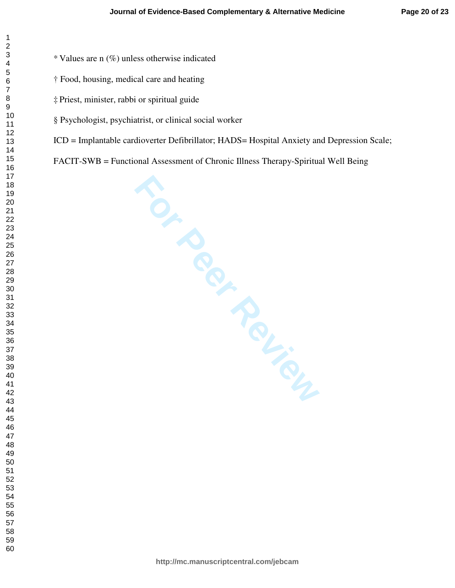- 
- 
- 
- \* Values are n (%) unless otherwise indicated † Food, housing, medical care and heating ‡ Priest, minister, rabbi or spiritual guide § Psychologist, psychiatrist, or clinical social worker
- ICD = Implantable cardioverter Defibrillator; HADS= Hospital Anxiety and Depression Scale;

FACIT-SWB = Functional Assessment of Chronic Illness Therapy-Spiritual Well Being

 $\mathbf{1}$  $\overline{2}$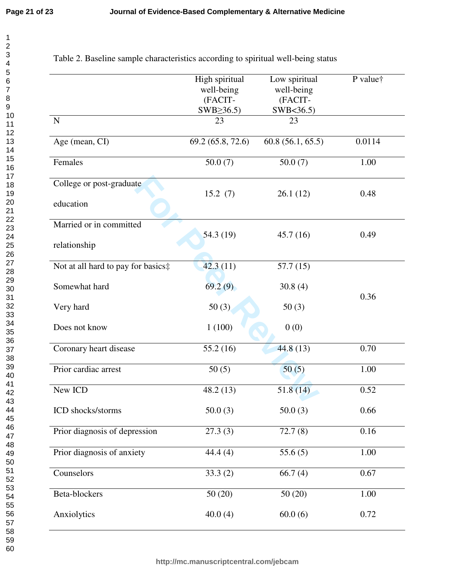123456789

 $\mathbf{1}$  $\overline{2}$ 3  $\overline{\mathbf{4}}$ 5  $\,6$  $\boldsymbol{7}$  $\,8\,$  $\boldsymbol{9}$ 

|                                         | High spiritual<br>well-being<br>(FACIT-<br>$SWB \geq 36.5$ | Low spiritual<br>well-being<br>(FACIT-<br>SWB<36.5) | P value <sup>†</sup> |
|-----------------------------------------|------------------------------------------------------------|-----------------------------------------------------|----------------------|
| $\mathbf N$                             | 23                                                         | 23                                                  |                      |
| Age (mean, CI)                          | 69.2 (65.8, 72.6)                                          | 60.8(56.1, 65.5)                                    | 0.0114               |
| Females                                 | 50.0(7)                                                    | 50.0(7)                                             | 1.00                 |
| College or post-graduate<br>education   | 15.2(7)                                                    | 26.1(12)                                            | 0.48                 |
| Married or in committed<br>relationship | 54.3 (19)                                                  | 45.7(16)                                            | 0.49                 |
| Not at all hard to pay for basics#      | 42.3(11)                                                   | 57.7(15)                                            |                      |
| Somewhat hard                           | 69.2(9)                                                    | 30.8(4)                                             |                      |
| Very hard                               | 50(3)                                                      | 50(3)                                               | 0.36                 |
| Does not know                           | 1(100)                                                     | 0(0)                                                |                      |
| Coronary heart disease                  | 55.2(16)                                                   | 44.8(13)                                            | 0.70                 |
| Prior cardiac arrest                    | 50(5)                                                      | 50(5)                                               | 1.00                 |
| New ICD                                 | 48.2(13)                                                   | 51.8(14)                                            | 0.52                 |
| ICD shocks/storms                       | 50.0(3)                                                    | 50.0(3)                                             | 0.66                 |
| Prior diagnosis of depression           | 27.3(3)                                                    | 72.7(8)                                             | 0.16                 |
| Prior diagnosis of anxiety              | 44.4(4)                                                    | 55.6 $(5)$                                          | 1.00                 |
| Counselors                              | 33.3(2)                                                    | 66.7(4)                                             | 0.67                 |
| Beta-blockers                           | 50(20)                                                     | $\overline{50(20)}$                                 | 1.00                 |
| Anxiolytics                             | 40.0(4)                                                    | 60.0(6)                                             | 0.72                 |

Table 2. Baseline sample characteristics according to spiritual well-being status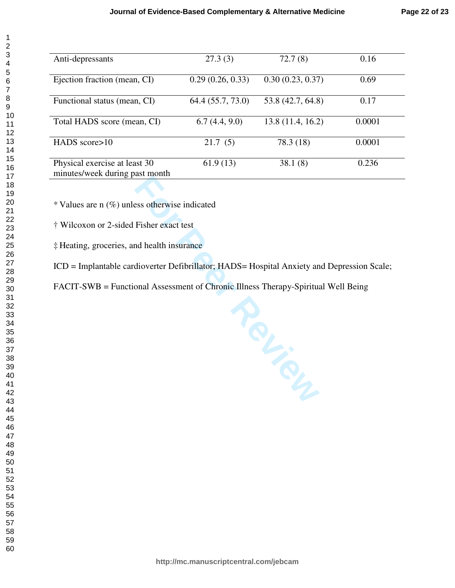| Anti-depressants                                                | 27.3(3)           | 72.7(8)           | 0.16   |
|-----------------------------------------------------------------|-------------------|-------------------|--------|
| Ejection fraction (mean, CI)                                    | 0.29(0.26, 0.33)  | 0.30(0.23, 0.37)  | 0.69   |
| Functional status (mean, CI)                                    | 64.4 (55.7, 73.0) | 53.8 (42.7, 64.8) | 0.17   |
| Total HADS score (mean, CI)                                     | 6.7(4.4, 9.0)     | 13.8(11.4, 16.2)  | 0.0001 |
| $HADS$ score $>10$                                              | 21.7(5)           | 78.3 (18)         | 0.0001 |
| Physical exercise at least 30<br>minutes/week during past month | 61.9(13)          | 38.1(8)           | 0.236  |

 $\ddagger$  Heating, groceries, and health insurance

\* Values are n (%) unless otherwise indicated<br>  $\ddagger$  Wilcoxon or 2-sided Fisher exact test<br>  $\ddagger$  Heating, groceries, and health insurance<br>
ICD = Implantable cardioverter Defibrillator; HADS= Hospital Anxiety and D<br>
FACIT-ICD = Implantable cardioverter Defibrillator; HADS= Hospital Anxiety and Depression Scale;

FACIT-SWB = Functional Assessment of Chronic Illness Therapy-Spiritual Well Being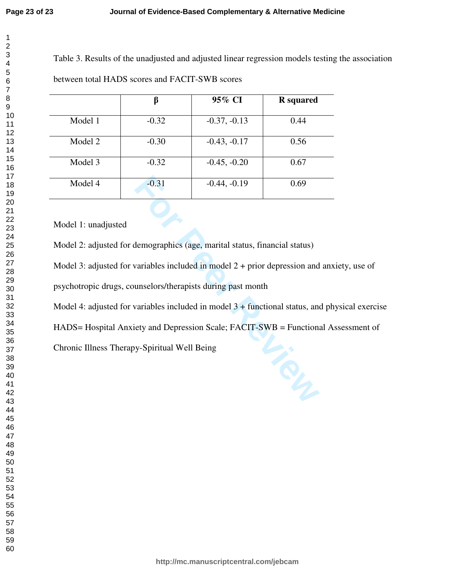Table 3. Results of the unadjusted and adjusted linear regression models testing the association between total HADS scores and FACIT-SWB scores

|         |         | 95% CI         | <b>R</b> squared |
|---------|---------|----------------|------------------|
| Model 1 | $-0.32$ | $-0.37, -0.13$ | 0.44             |
| Model 2 | $-0.30$ | $-0.43, -0.17$ | 0.56             |
| Model 3 | $-0.32$ | $-0.45, -0.20$ | 0.67             |
| Model 4 | $-0.31$ | $-0.44, -0.19$ | 0.69             |

# Model 1: unadjusted

Model 2: adjusted for demographics (age, marital status, financial status)

**For Perry and Set 2013 For Perry Alternative Confidence and Alternative Confidence and unselors/therapists during past month variables included in model 2 + prior depression and unselors/therapists during past month var** Model 3: adjusted for variables included in model 2 + prior depression and anxiety, use of psychotropic drugs, counselors/therapists during past month

Model 4: adjusted for variables included in model  $3 +$  functional status, and physical exercise

HADS= Hospital Anxiety and Depression Scale; FACIT-SWB = Functional Assessment of

Chronic Illness Therapy-Spiritual Well Being